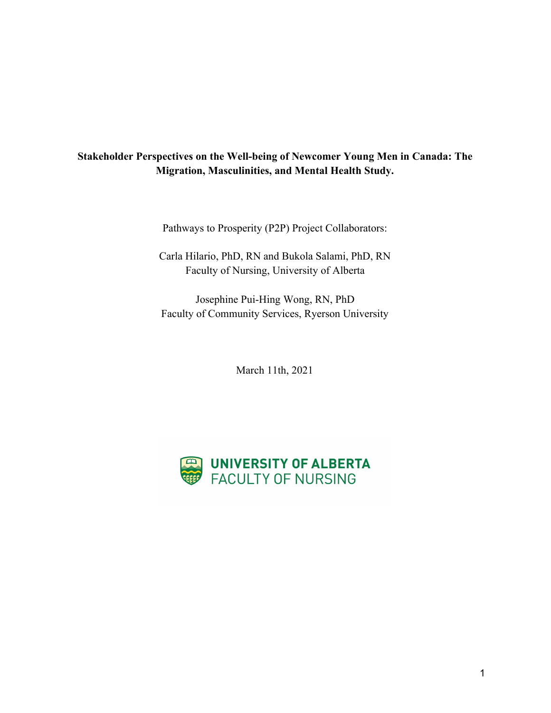# **Stakeholder Perspectives on the Well-being of Newcomer Young Men in Canada: The Migration, Masculinities, and Mental Health Study.**

Pathways to Prosperity (P2P) Project Collaborators:

Carla Hilario, PhD, RN and Bukola Salami, PhD, RN Faculty of Nursing, University of Alberta

Josephine Pui-Hing Wong, RN, PhD Faculty of Community Services, Ryerson University

March 11th, 2021

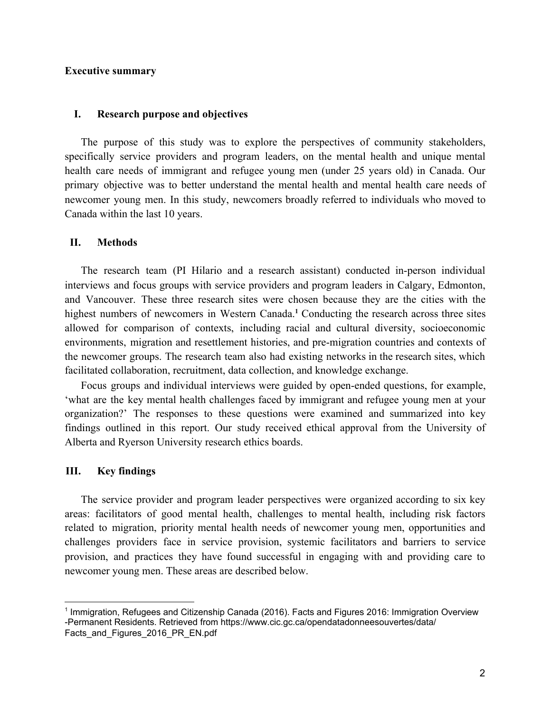## **Executive summary**

#### **I. Research purpose and objectives**

The purpose of this study was to explore the perspectives of community stakeholders, specifically service providers and program leaders, on the mental health and unique mental health care needs of immigrant and refugee young men (under 25 years old) in Canada. Our primary objective was to better understand the mental health and mental health care needs of newcomer young men. In this study, newcomers broadly referred to individuals who moved to Canada within the last 10 years.

### **II. Methods**

The research team (PI Hilario and a research assistant) conducted in-person individual interviews and focus groups with service providers and program leaders in Calgary, Edmonton, and Vancouver. These three research sites were chosen because they are the cities with the highest numbers of newcomers in Western Canada.<sup>1</sup> Conducting the research across three sites allowed for comparison of contexts, including racial and cultural diversity, socioeconomic environments, migration and resettlement histories, and pre-migration countries and contexts of the newcomer groups. The research team also had existing networks in the research sites, which facilitated collaboration, recruitment, data collection, and knowledge exchange.

Focus groups and individual interviews were guided by open-ended questions, for example, 'what are the key mental health challenges faced by immigrant and refugee young men at your organization?' The responses to these questions were examined and summarized into key findings outlined in this report. Our study received ethical approval from the University of Alberta and Ryerson University research ethics boards.

#### **III. Key findings**

The service provider and program leader perspectives were organized according to six key areas: facilitators of good mental health, challenges to mental health, including risk factors related to migration, priority mental health needs of newcomer young men, opportunities and challenges providers face in service provision, systemic facilitators and barriers to service provision, and practices they have found successful in engaging with and providing care to newcomer young men. These areas are described below.

<sup>1</sup> Immigration, Refugees and Citizenship Canada (2016). Facts and Figures 2016: Immigration Overview -Permanent Residents. Retrieved from https://www.cic.gc.ca/opendatadonneesouvertes/data/ Facts\_and\_Figures\_2016\_PR\_EN.pdf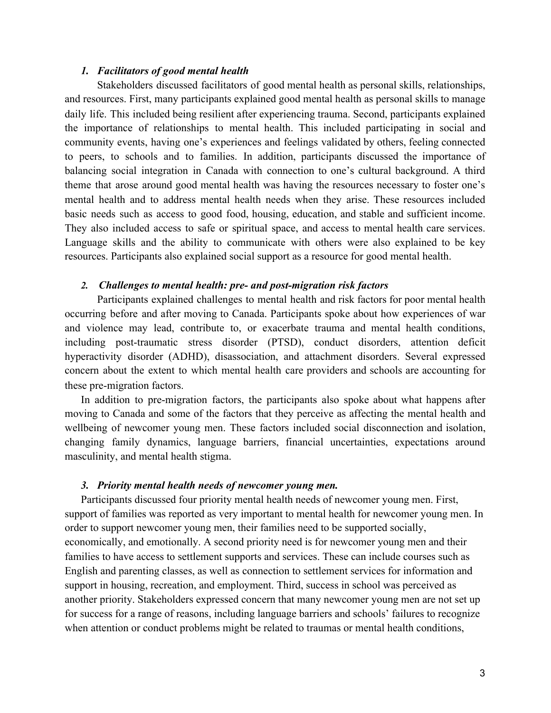## *1. Facilitators of good mental health*

Stakeholders discussed facilitators of good mental health as personal skills, relationships, and resources. First, many participants explained good mental health as personal skills to manage daily life. This included being resilient after experiencing trauma. Second, participants explained the importance of relationships to mental health. This included participating in social and community events, having one's experiences and feelings validated by others, feeling connected to peers, to schools and to families. In addition, participants discussed the importance of balancing social integration in Canada with connection to one's cultural background. A third theme that arose around good mental health was having the resources necessary to foster one's mental health and to address mental health needs when they arise. These resources included basic needs such as access to good food, housing, education, and stable and sufficient income. They also included access to safe or spiritual space, and access to mental health care services. Language skills and the ability to communicate with others were also explained to be key resources. Participants also explained social support as a resource for good mental health.

## *2. Challenges to mental health: pre- and post-migration risk factors*

Participants explained challenges to mental health and risk factors for poor mental health occurring before and after moving to Canada. Participants spoke about how experiences of war and violence may lead, contribute to, or exacerbate trauma and mental health conditions, including post-traumatic stress disorder (PTSD), conduct disorders, attention deficit hyperactivity disorder (ADHD), disassociation, and attachment disorders. Several expressed concern about the extent to which mental health care providers and schools are accounting for these pre-migration factors.

In addition to pre-migration factors, the participants also spoke about what happens after moving to Canada and some of the factors that they perceive as affecting the mental health and wellbeing of newcomer young men. These factors included social disconnection and isolation, changing family dynamics, language barriers, financial uncertainties, expectations around masculinity, and mental health stigma.

#### *3. Priority mental health needs of newcomer young men.*

Participants discussed four priority mental health needs of newcomer young men. First, support of families was reported as very important to mental health for newcomer young men. In order to support newcomer young men, their families need to be supported socially, economically, and emotionally. A second priority need is for newcomer young men and their families to have access to settlement supports and services. These can include courses such as English and parenting classes, as well as connection to settlement services for information and support in housing, recreation, and employment. Third, success in school was perceived as another priority. Stakeholders expressed concern that many newcomer young men are not set up for success for a range of reasons, including language barriers and schools' failures to recognize when attention or conduct problems might be related to traumas or mental health conditions,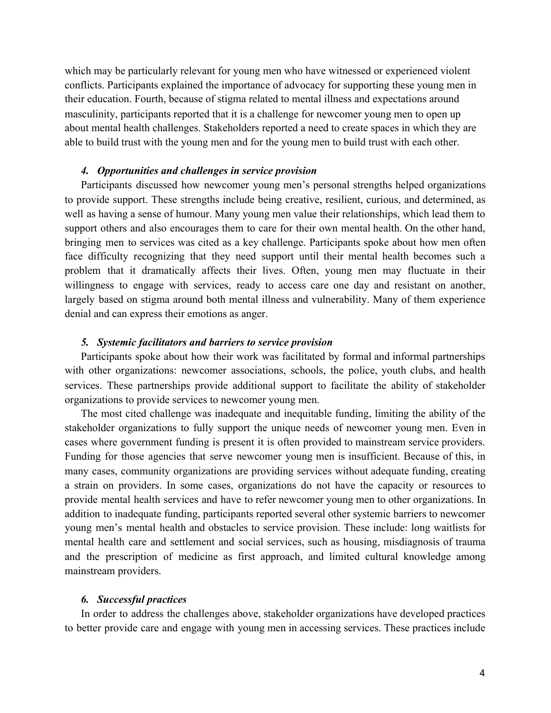which may be particularly relevant for young men who have witnessed or experienced violent conflicts. Participants explained the importance of advocacy for supporting these young men in their education. Fourth, because of stigma related to mental illness and expectations around masculinity, participants reported that it is a challenge for newcomer young men to open up about mental health challenges. Stakeholders reported a need to create spaces in which they are able to build trust with the young men and for the young men to build trust with each other.

## *4. Opportunities and challenges in service provision*

Participants discussed how newcomer young men's personal strengths helped organizations to provide support. These strengths include being creative, resilient, curious, and determined, as well as having a sense of humour. Many young men value their relationships, which lead them to support others and also encourages them to care for their own mental health. On the other hand, bringing men to services was cited as a key challenge. Participants spoke about how men often face difficulty recognizing that they need support until their mental health becomes such a problem that it dramatically affects their lives. Often, young men may fluctuate in their willingness to engage with services, ready to access care one day and resistant on another, largely based on stigma around both mental illness and vulnerability. Many of them experience denial and can express their emotions as anger.

#### *5. Systemic facilitators and barriers to service provision*

Participants spoke about how their work was facilitated by formal and informal partnerships with other organizations: newcomer associations, schools, the police, youth clubs, and health services. These partnerships provide additional support to facilitate the ability of stakeholder organizations to provide services to newcomer young men.

The most cited challenge was inadequate and inequitable funding, limiting the ability of the stakeholder organizations to fully support the unique needs of newcomer young men. Even in cases where government funding is present it is often provided to mainstream service providers. Funding for those agencies that serve newcomer young men is insufficient. Because of this, in many cases, community organizations are providing services without adequate funding, creating a strain on providers. In some cases, organizations do not have the capacity or resources to provide mental health services and have to refer newcomer young men to other organizations. In addition to inadequate funding, participants reported several other systemic barriers to newcomer young men's mental health and obstacles to service provision. These include: long waitlists for mental health care and settlement and social services, such as housing, misdiagnosis of trauma and the prescription of medicine as first approach, and limited cultural knowledge among mainstream providers.

#### *6. Successful practices*

In order to address the challenges above, stakeholder organizations have developed practices to better provide care and engage with young men in accessing services. These practices include